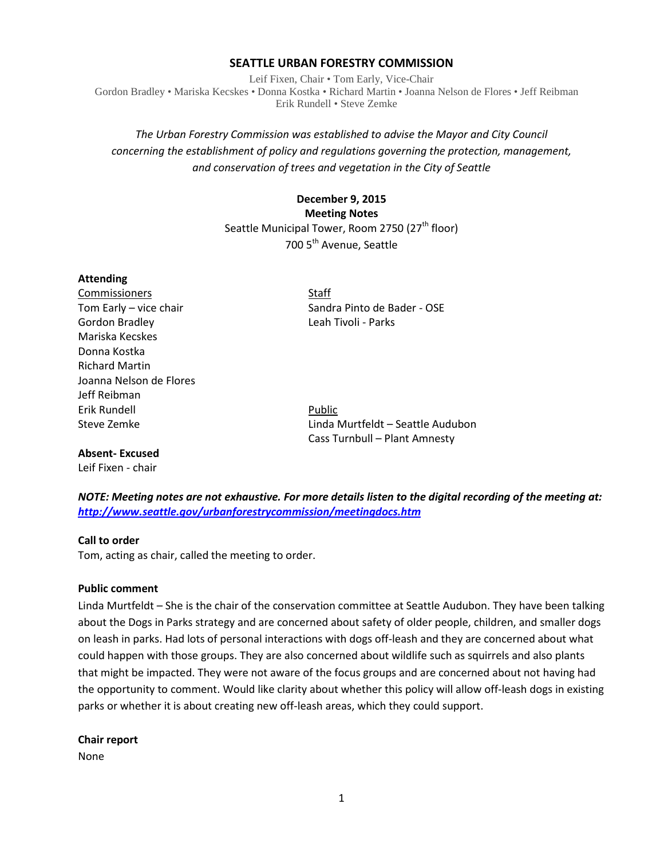### **SEATTLE URBAN FORESTRY COMMISSION**

Leif Fixen, Chair • Tom Early, Vice-Chair Gordon Bradley • Mariska Kecskes • Donna Kostka • Richard Martin • Joanna Nelson de Flores • Jeff Reibman Erik Rundell • Steve Zemke

# *The Urban Forestry Commission was established to advise the Mayor and City Council concerning the establishment of policy and regulations governing the protection, management, and conservation of trees and vegetation in the City of Seattle*

# **December 9, 2015 Meeting Notes** Seattle Municipal Tower, Room 2750 (27<sup>th</sup> floor) 700 5<sup>th</sup> Avenue, Seattle

#### **Attending**

Commissioners Staff Gordon Bradley Leah Tivoli - Parks Mariska Kecskes Donna Kostka Richard Martin Joanna Nelson de Flores Jeff Reibman Erik Rundell **Public** 

Tom Early – vice chair Sandra Pinto de Bader - OSE

Steve Zemke Linda Murtfeldt – Seattle Audubon Cass Turnbull – Plant Amnesty

*NOTE: Meeting notes are not exhaustive. For more details listen to the digital recording of the meeting at: <http://www.seattle.gov/urbanforestrycommission/meetingdocs.htm>*

# **Call to order**

**Absent- Excused** Leif Fixen - chair

Tom, acting as chair, called the meeting to order.

# **Public comment**

Linda Murtfeldt – She is the chair of the conservation committee at Seattle Audubon. They have been talking about the Dogs in Parks strategy and are concerned about safety of older people, children, and smaller dogs on leash in parks. Had lots of personal interactions with dogs off-leash and they are concerned about what could happen with those groups. They are also concerned about wildlife such as squirrels and also plants that might be impacted. They were not aware of the focus groups and are concerned about not having had the opportunity to comment. Would like clarity about whether this policy will allow off-leash dogs in existing parks or whether it is about creating new off-leash areas, which they could support.

**Chair report**

None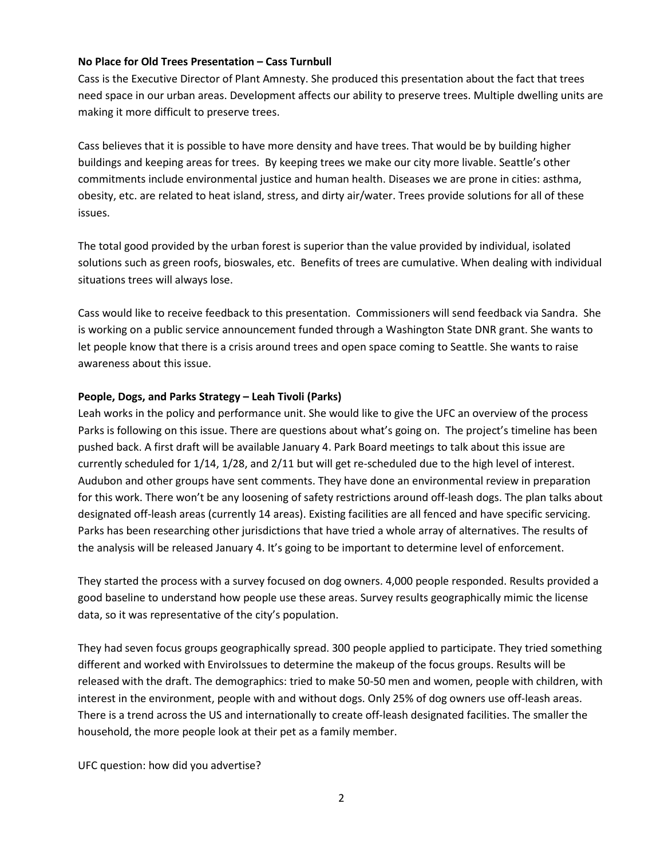#### **No Place for Old Trees Presentation – Cass Turnbull**

Cass is the Executive Director of Plant Amnesty. She produced this presentation about the fact that trees need space in our urban areas. Development affects our ability to preserve trees. Multiple dwelling units are making it more difficult to preserve trees.

Cass believes that it is possible to have more density and have trees. That would be by building higher buildings and keeping areas for trees. By keeping trees we make our city more livable. Seattle's other commitments include environmental justice and human health. Diseases we are prone in cities: asthma, obesity, etc. are related to heat island, stress, and dirty air/water. Trees provide solutions for all of these issues.

The total good provided by the urban forest is superior than the value provided by individual, isolated solutions such as green roofs, bioswales, etc. Benefits of trees are cumulative. When dealing with individual situations trees will always lose.

Cass would like to receive feedback to this presentation. Commissioners will send feedback via Sandra. She is working on a public service announcement funded through a Washington State DNR grant. She wants to let people know that there is a crisis around trees and open space coming to Seattle. She wants to raise awareness about this issue.

#### **People, Dogs, and Parks Strategy – Leah Tivoli (Parks)**

Leah works in the policy and performance unit. She would like to give the UFC an overview of the process Parks is following on this issue. There are questions about what's going on. The project's timeline has been pushed back. A first draft will be available January 4. Park Board meetings to talk about this issue are currently scheduled for 1/14, 1/28, and 2/11 but will get re-scheduled due to the high level of interest. Audubon and other groups have sent comments. They have done an environmental review in preparation for this work. There won't be any loosening of safety restrictions around off-leash dogs. The plan talks about designated off-leash areas (currently 14 areas). Existing facilities are all fenced and have specific servicing. Parks has been researching other jurisdictions that have tried a whole array of alternatives. The results of the analysis will be released January 4. It's going to be important to determine level of enforcement.

They started the process with a survey focused on dog owners. 4,000 people responded. Results provided a good baseline to understand how people use these areas. Survey results geographically mimic the license data, so it was representative of the city's population.

They had seven focus groups geographically spread. 300 people applied to participate. They tried something different and worked with EnviroIssues to determine the makeup of the focus groups. Results will be released with the draft. The demographics: tried to make 50-50 men and women, people with children, with interest in the environment, people with and without dogs. Only 25% of dog owners use off-leash areas. There is a trend across the US and internationally to create off-leash designated facilities. The smaller the household, the more people look at their pet as a family member.

UFC question: how did you advertise?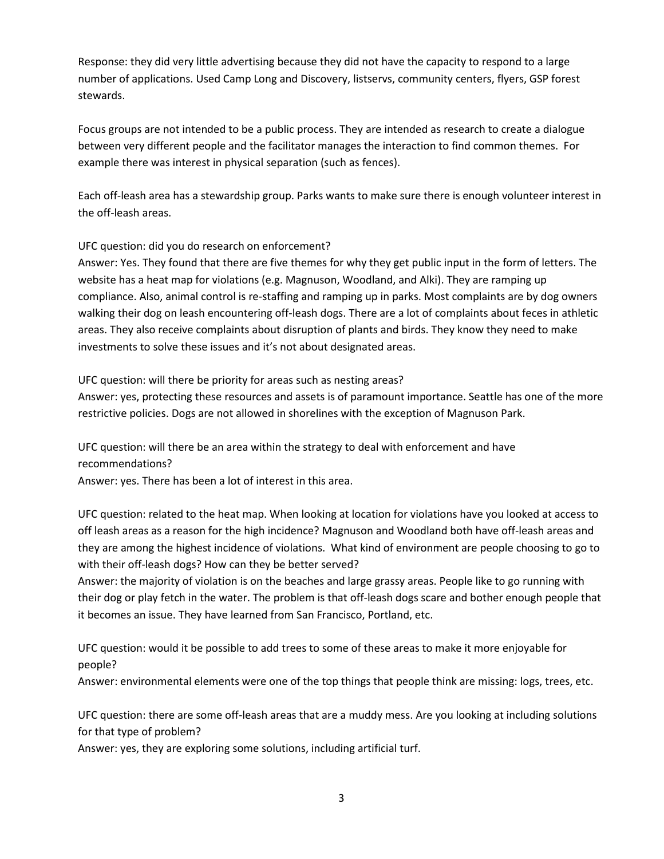Response: they did very little advertising because they did not have the capacity to respond to a large number of applications. Used Camp Long and Discovery, listservs, community centers, flyers, GSP forest stewards.

Focus groups are not intended to be a public process. They are intended as research to create a dialogue between very different people and the facilitator manages the interaction to find common themes. For example there was interest in physical separation (such as fences).

Each off-leash area has a stewardship group. Parks wants to make sure there is enough volunteer interest in the off-leash areas.

UFC question: did you do research on enforcement?

Answer: Yes. They found that there are five themes for why they get public input in the form of letters. The website has a heat map for violations (e.g. Magnuson, Woodland, and Alki). They are ramping up compliance. Also, animal control is re-staffing and ramping up in parks. Most complaints are by dog owners walking their dog on leash encountering off-leash dogs. There are a lot of complaints about feces in athletic areas. They also receive complaints about disruption of plants and birds. They know they need to make investments to solve these issues and it's not about designated areas.

UFC question: will there be priority for areas such as nesting areas?

Answer: yes, protecting these resources and assets is of paramount importance. Seattle has one of the more restrictive policies. Dogs are not allowed in shorelines with the exception of Magnuson Park.

UFC question: will there be an area within the strategy to deal with enforcement and have recommendations?

Answer: yes. There has been a lot of interest in this area.

UFC question: related to the heat map. When looking at location for violations have you looked at access to off leash areas as a reason for the high incidence? Magnuson and Woodland both have off-leash areas and they are among the highest incidence of violations. What kind of environment are people choosing to go to with their off-leash dogs? How can they be better served?

Answer: the majority of violation is on the beaches and large grassy areas. People like to go running with their dog or play fetch in the water. The problem is that off-leash dogs scare and bother enough people that it becomes an issue. They have learned from San Francisco, Portland, etc.

UFC question: would it be possible to add trees to some of these areas to make it more enjoyable for people?

Answer: environmental elements were one of the top things that people think are missing: logs, trees, etc.

UFC question: there are some off-leash areas that are a muddy mess. Are you looking at including solutions for that type of problem?

Answer: yes, they are exploring some solutions, including artificial turf.